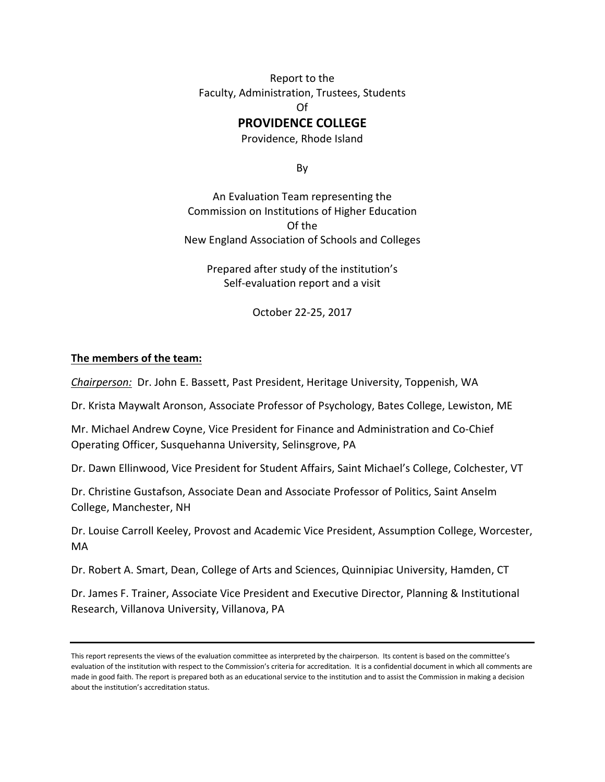Report to the Faculty, Administration, Trustees, Students Of

#### **PROVIDENCE COLLEGE**

Providence, Rhode Island

By

An Evaluation Team representing the Commission on Institutions of Higher Education Of the New England Association of Schools and Colleges

Prepared after study of the institution's Self-evaluation report and a visit

October 22-25, 2017

#### **The members of the team:**

*Chairperson:* Dr. John E. Bassett, Past President, Heritage University, Toppenish, WA

Dr. Krista Maywalt Aronson, Associate Professor of Psychology, Bates College, Lewiston, ME

Mr. Michael Andrew Coyne, Vice President for Finance and Administration and Co-Chief Operating Officer, Susquehanna University, Selinsgrove, PA

Dr. Dawn Ellinwood, Vice President for Student Affairs, Saint Michael's College, Colchester, VT

Dr. Christine Gustafson, Associate Dean and Associate Professor of Politics, Saint Anselm College, Manchester, NH

Dr. Louise Carroll Keeley, Provost and Academic Vice President, Assumption College, Worcester, MA

Dr. Robert A. Smart, Dean, College of Arts and Sciences, Quinnipiac University, Hamden, CT

Dr. James F. Trainer, Associate Vice President and Executive Director, Planning & Institutional Research, Villanova University, Villanova, PA

This report represents the views of the evaluation committee as interpreted by the chairperson. Its content is based on the committee's evaluation of the institution with respect to the Commission's criteria for accreditation. It is a confidential document in which all comments are made in good faith. The report is prepared both as an educational service to the institution and to assist the Commission in making a decision about the institution's accreditation status.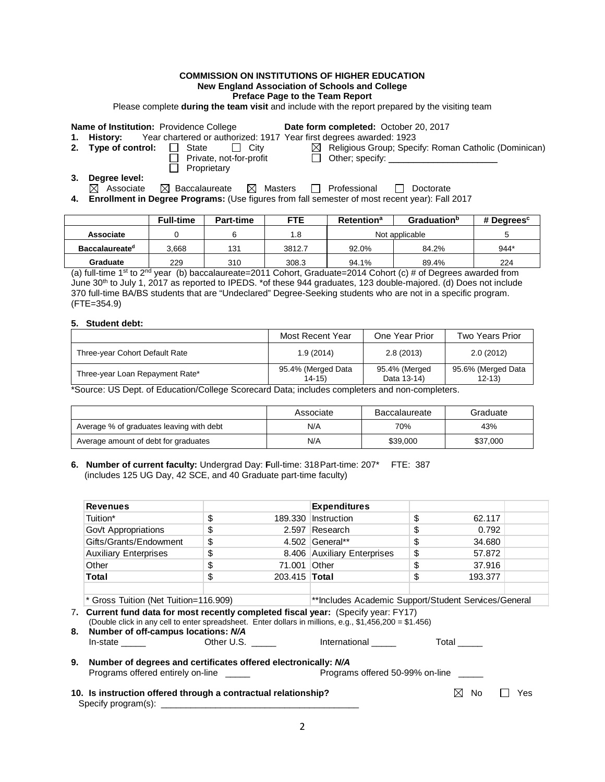#### **COMMISSION ON INSTITUTIONS OF HIGHER EDUCATION New England Association of Schools and College**

**Preface Page to the Team Report**

Please complete **during the team visit** and include with the report prepared by the visiting team

**Name of Institution:** Providence College **Date form completed:** October 20, 2017<br>**1.** History: Year chartered or authorized: 1917 Year first degrees awarded: 1923

**1. 1. 1. 1. 1. 1. History:** *Hear first degrees awarded: 1923*<br>**1. 1.** State ∴ City ∴ In Religious Group; Spec

- 
- $\Box$  Private, not-for-profit

**Proprietary** 

- 
- **2. Type of control:** State City **Religious Group; Specify: Roman Catholic (Dominican)**<br>
Pivate, not-for-profit City Citer; specify: <u>Communican</u>

**3. Degree level:**<br> **Ex** Associate

 $\boxtimes$  Baccalaureate  $\boxtimes$  Masters  $\Box$  Professional  $\Box$  Doctorate

**4. Enrollment in Degree Programs:** (Use figures from fall semester of most recent year): Fall 2017

|                       | <b>Full-time</b> | <b>Part-time</b> | <b>FTE</b> | <b>Retention</b> <sup>a</sup> | <b>Graduation</b> <sup>b</sup> | # Degrees <sup>c</sup> |
|-----------------------|------------------|------------------|------------|-------------------------------|--------------------------------|------------------------|
| Associate             |                  |                  | 1.8        | Not applicable                |                                |                        |
| <b>Baccalaureated</b> | 3.668            | 131              | 3812.7     | 92.0%                         | 84.2%                          | $944*$                 |
| Graduate              | 229              | 310              | 308.3      | 94.1%                         | 89.4%                          | 224                    |

(a) full-time 1<sup>st</sup> to 2<sup>nd</sup> year (b) baccalaureate=2011 Cohort, Graduate=2014 Cohort (c) # of Degrees awarded from June 30th to July 1, 2017 as reported to IPEDS. \*of these 944 graduates, 123 double-majored. (d) Does not include 370 full-time BA/BS students that are "Undeclared" Degree-Seeking students who are not in a specific program. (FTE=354.9)

#### **5. Student debt:**

|                                 | Most Recent Year                | One Year Prior               | <b>Two Years Prior</b>          |
|---------------------------------|---------------------------------|------------------------------|---------------------------------|
| Three-year Cohort Default Rate  | 1.9(2014)                       | 2.8(2013)                    | 2.0(2012)                       |
| Three-year Loan Repayment Rate* | 95.4% (Merged Data<br>$14 - 15$ | 95.4% (Merged<br>Data 13-14) | 95.6% (Merged Data<br>$12 - 13$ |

\*Source: US Dept. of Education/College Scorecard Data; includes completers and non-completers.

|                                          | Associate | <b>Baccalaureate</b> | Graduate |
|------------------------------------------|-----------|----------------------|----------|
| Average % of graduates leaving with debt | N/A       | 70%                  | 43%      |
| Average amount of debt for graduates     | N/A       | \$39,000             | \$37,000 |

**6. Number of current faculty:** Undergrad Day: **F**ull-time: 318Part-time: 207\* FTE: 387 (includes 125 UG Day, 42 SCE, and 40 Graduate part-time faculty)

| <b>Revenues</b>                                                                                                                                                                                                                            |                                       |                      | <b>Expenditures</b>         |                                                      |         |     |  |
|--------------------------------------------------------------------------------------------------------------------------------------------------------------------------------------------------------------------------------------------|---------------------------------------|----------------------|-----------------------------|------------------------------------------------------|---------|-----|--|
| Tuition*                                                                                                                                                                                                                                   | \$                                    | 189.330              | Instruction                 | \$                                                   | 62.117  |     |  |
| Govt Appropriations                                                                                                                                                                                                                        | \$                                    |                      | 2.597 Research              | \$                                                   | 0.792   |     |  |
| Gifts/Grants/Endowment                                                                                                                                                                                                                     | \$                                    |                      | 4.502 General**             | \$                                                   | 34.680  |     |  |
| <b>Auxiliary Enterprises</b>                                                                                                                                                                                                               | \$                                    |                      | 8.406 Auxiliary Enterprises | \$                                                   | 57.872  |     |  |
| Other                                                                                                                                                                                                                                      | \$                                    | 71,001 Other         |                             | \$                                                   | 37.916  |     |  |
| Total                                                                                                                                                                                                                                      | \$                                    | 203.415 <b>Total</b> |                             | \$                                                   | 193.377 |     |  |
|                                                                                                                                                                                                                                            |                                       |                      |                             |                                                      |         |     |  |
|                                                                                                                                                                                                                                            | * Gross Tuition (Net Tuition=116.909) |                      |                             | **Includes Academic Support/Student Services/General |         |     |  |
| 7. Current fund data for most recently completed fiscal year: (Specify year: FY17)<br>(Double click in any cell to enter spreadsheet. Enter dollars in millions, e.g., \$1,456,200 = \$1.456)<br>8.<br>Number of off-campus locations: N/A |                                       |                      |                             |                                                      |         |     |  |
| In-state Other U.S.                                                                                                                                                                                                                        |                                       |                      | International               |                                                      | Total   |     |  |
| 9. Number of degrees and certificates offered electronically: N/A                                                                                                                                                                          |                                       |                      |                             |                                                      |         |     |  |
| Programs offered entirely on-line ______<br>Programs offered 50-99% on-line                                                                                                                                                                |                                       |                      |                             |                                                      |         |     |  |
| 10. Is instruction offered through a contractual relationship?                                                                                                                                                                             |                                       |                      |                             |                                                      | No      | Yes |  |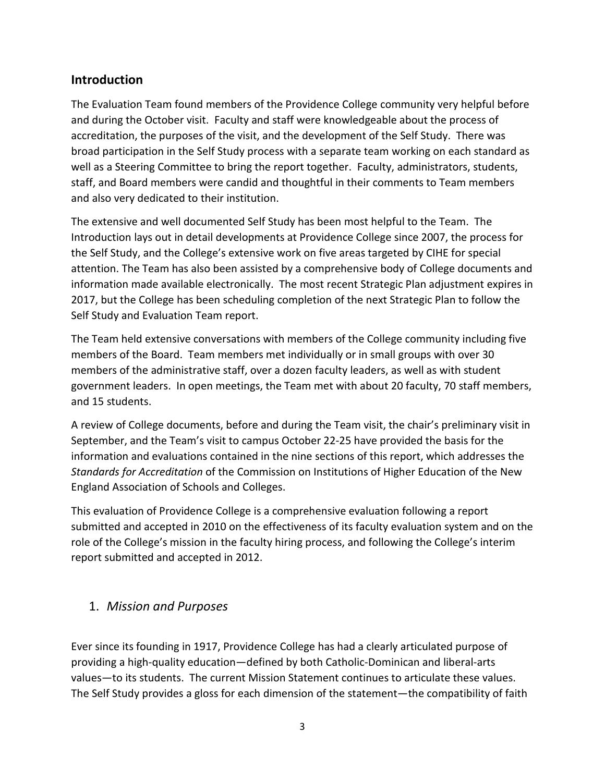## **Introduction**

The Evaluation Team found members of the Providence College community very helpful before and during the October visit. Faculty and staff were knowledgeable about the process of accreditation, the purposes of the visit, and the development of the Self Study. There was broad participation in the Self Study process with a separate team working on each standard as well as a Steering Committee to bring the report together. Faculty, administrators, students, staff, and Board members were candid and thoughtful in their comments to Team members and also very dedicated to their institution.

The extensive and well documented Self Study has been most helpful to the Team. The Introduction lays out in detail developments at Providence College since 2007, the process for the Self Study, and the College's extensive work on five areas targeted by CIHE for special attention. The Team has also been assisted by a comprehensive body of College documents and information made available electronically. The most recent Strategic Plan adjustment expires in 2017, but the College has been scheduling completion of the next Strategic Plan to follow the Self Study and Evaluation Team report.

The Team held extensive conversations with members of the College community including five members of the Board. Team members met individually or in small groups with over 30 members of the administrative staff, over a dozen faculty leaders, as well as with student government leaders. In open meetings, the Team met with about 20 faculty, 70 staff members, and 15 students.

A review of College documents, before and during the Team visit, the chair's preliminary visit in September, and the Team's visit to campus October 22-25 have provided the basis for the information and evaluations contained in the nine sections of this report, which addresses the *Standards for Accreditation* of the Commission on Institutions of Higher Education of the New England Association of Schools and Colleges.

This evaluation of Providence College is a comprehensive evaluation following a report submitted and accepted in 2010 on the effectiveness of its faculty evaluation system and on the role of the College's mission in the faculty hiring process, and following the College's interim report submitted and accepted in 2012.

#### 1. *Mission and Purposes*

Ever since its founding in 1917, Providence College has had a clearly articulated purpose of providing a high-quality education—defined by both Catholic-Dominican and liberal-arts values—to its students. The current Mission Statement continues to articulate these values. The Self Study provides a gloss for each dimension of the statement—the compatibility of faith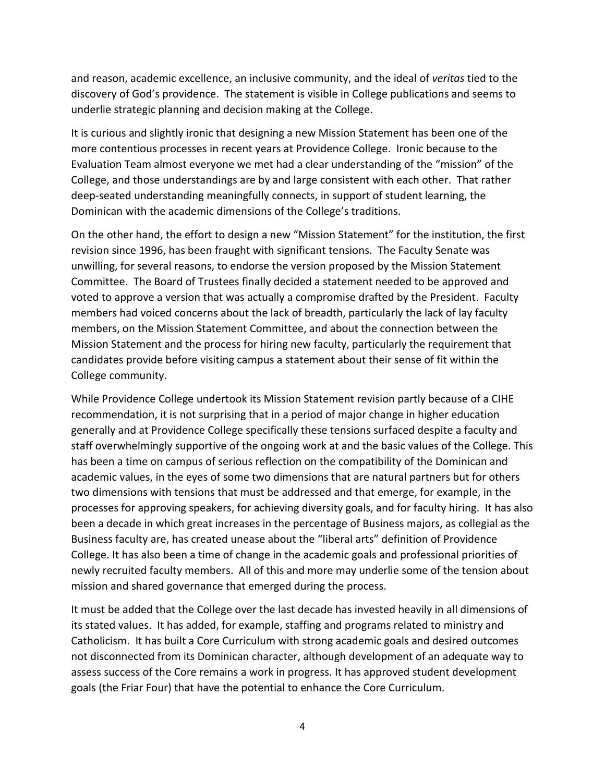and reason, academic excellence, an inclusive community, and the ideal of *veritas* tied to the discovery of God's providence. The statement is visible in College publications and seems to underlie strategic planning and decision making at the College.

It is curious and slightly ironic that designing a new Mission Statement has been one of the more contentious processes in recent years at Providence College. Ironic because to the Evaluation Team almost everyone we met had a clear understanding of the "mission" of the College, and those understandings are by and large consistent with each other. That rather deep-seated understanding meaningfully connects, in support of student learning, the Dominican with the academic dimensions of the College's traditions.

On the other hand, the effort to design a new "Mission Statement" for the institution, the first revision since 1996, has been fraught with significant tensions. The Faculty Senate was unwilling, for several reasons, to endorse the version proposed by the Mission Statement Committee. The Board of Trustees finally decided a statement needed to be approved and voted to approve a version that was actually a compromise drafted by the President. Faculty members had voiced concerns about the lack of breadth, particularly the lack of lay faculty members, on the Mission Statement Committee, and about the connection between the Mission Statement and the process for hiring new faculty, particularly the requirement that candidates provide before visiting campus a statement about their sense of fit within the College community.

While Providence College undertook its Mission Statement revision partly because of a CIHE recommendation, it is not surprising that in a period of major change in higher education generally and at Providence College specifically these tensions surfaced despite a faculty and staff overwhelmingly supportive of the ongoing work at and the basic values of the College. This has been a time on campus of serious reflection on the compatibility of the Dominican and academic values, in the eyes of some two dimensions that are natural partners but for others two dimensions with tensions that must be addressed and that emerge, for example, in the processes for approving speakers, for achieving diversity goals, and for faculty hiring. It has also been a decade in which great increases in the percentage of Business majors, as collegial as the Business faculty are, has created unease about the "liberal arts" definition of Providence College. It has also been a time of change in the academic goals and professional priorities of newly recruited faculty members. All of this and more may underlie some of the tension about mission and shared governance that emerged during the process.

It must be added that the College over the last decade has invested heavily in all dimensions of its stated values. It has added, for example, staffing and programs related to ministry and Catholicism. It has built a Core Curriculum with strong academic goals and desired outcomes not disconnected from its Dominican character, although development of an adequate way to assess success of the Core remains a work in progress. It has approved student development goals (the Friar Four) that have the potential to enhance the Core Curriculum.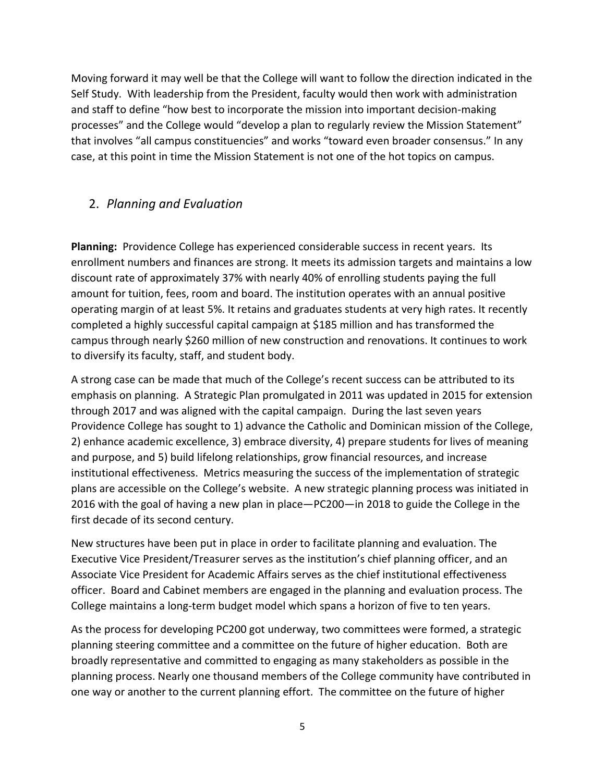Moving forward it may well be that the College will want to follow the direction indicated in the Self Study. With leadership from the President, faculty would then work with administration and staff to define "how best to incorporate the mission into important decision-making processes" and the College would "develop a plan to regularly review the Mission Statement" that involves "all campus constituencies" and works "toward even broader consensus." In any case, at this point in time the Mission Statement is not one of the hot topics on campus.

## 2. *Planning and Evaluation*

**Planning:** Providence College has experienced considerable success in recent years. Its enrollment numbers and finances are strong. It meets its admission targets and maintains a low discount rate of approximately 37% with nearly 40% of enrolling students paying the full amount for tuition, fees, room and board. The institution operates with an annual positive operating margin of at least 5%. It retains and graduates students at very high rates. It recently completed a highly successful capital campaign at \$185 million and has transformed the campus through nearly \$260 million of new construction and renovations. It continues to work to diversify its faculty, staff, and student body.

A strong case can be made that much of the College's recent success can be attributed to its emphasis on planning. A Strategic Plan promulgated in 2011 was updated in 2015 for extension through 2017 and was aligned with the capital campaign. During the last seven years Providence College has sought to 1) advance the Catholic and Dominican mission of the College, 2) enhance academic excellence, 3) embrace diversity, 4) prepare students for lives of meaning and purpose, and 5) build lifelong relationships, grow financial resources, and increase institutional effectiveness. Metrics measuring the success of the implementation of strategic plans are accessible on the College's website. A new strategic planning process was initiated in 2016 with the goal of having a new plan in place—PC200—in 2018 to guide the College in the first decade of its second century.

New structures have been put in place in order to facilitate planning and evaluation. The Executive Vice President/Treasurer serves as the institution's chief planning officer, and an Associate Vice President for Academic Affairs serves as the chief institutional effectiveness officer. Board and Cabinet members are engaged in the planning and evaluation process. The College maintains a long-term budget model which spans a horizon of five to ten years.

As the process for developing PC200 got underway, two committees were formed, a strategic planning steering committee and a committee on the future of higher education. Both are broadly representative and committed to engaging as many stakeholders as possible in the planning process. Nearly one thousand members of the College community have contributed in one way or another to the current planning effort. The committee on the future of higher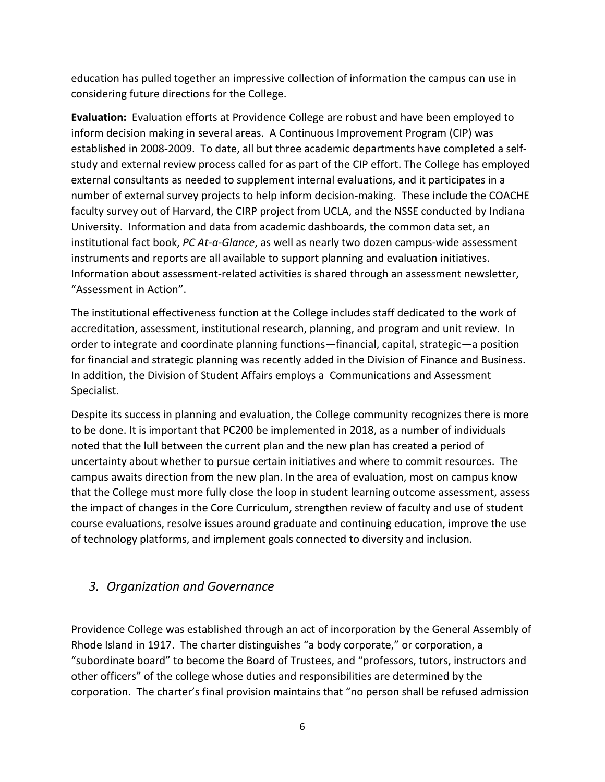education has pulled together an impressive collection of information the campus can use in considering future directions for the College.

**Evaluation:** Evaluation efforts at Providence College are robust and have been employed to inform decision making in several areas. A Continuous Improvement Program (CIP) was established in 2008-2009. To date, all but three academic departments have completed a selfstudy and external review process called for as part of the CIP effort. The College has employed external consultants as needed to supplement internal evaluations, and it participates in a number of external survey projects to help inform decision-making. These include the COACHE faculty survey out of Harvard, the CIRP project from UCLA, and the NSSE conducted by Indiana University. Information and data from academic dashboards, the common data set, an institutional fact book, *PC At-a-Glance*, as well as nearly two dozen campus-wide assessment instruments and reports are all available to support planning and evaluation initiatives. Information about assessment-related activities is shared through an assessment newsletter, "Assessment in Action".

The institutional effectiveness function at the College includes staff dedicated to the work of accreditation, assessment, institutional research, planning, and program and unit review. In order to integrate and coordinate planning functions—financial, capital, strategic—a position for financial and strategic planning was recently added in the Division of Finance and Business. In addition, the Division of Student Affairs employs a Communications and Assessment Specialist.

Despite its success in planning and evaluation, the College community recognizes there is more to be done. It is important that PC200 be implemented in 2018, as a number of individuals noted that the lull between the current plan and the new plan has created a period of uncertainty about whether to pursue certain initiatives and where to commit resources. The campus awaits direction from the new plan. In the area of evaluation, most on campus know that the College must more fully close the loop in student learning outcome assessment, assess the impact of changes in the Core Curriculum, strengthen review of faculty and use of student course evaluations, resolve issues around graduate and continuing education, improve the use of technology platforms, and implement goals connected to diversity and inclusion.

#### *3. Organization and Governance*

Providence College was established through an act of incorporation by the General Assembly of Rhode Island in 1917. The charter distinguishes "a body corporate," or corporation, a "subordinate board" to become the Board of Trustees, and "professors, tutors, instructors and other officers" of the college whose duties and responsibilities are determined by the corporation. The charter's final provision maintains that "no person shall be refused admission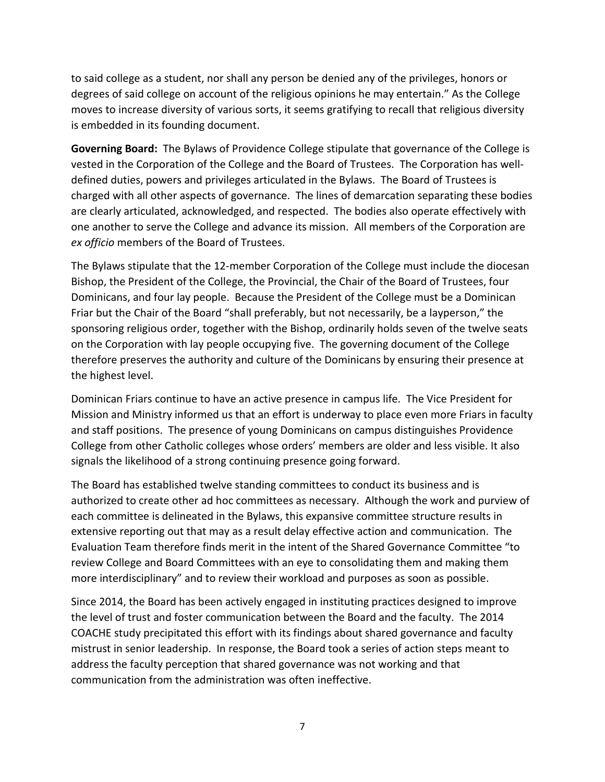to said college as a student, nor shall any person be denied any of the privileges, honors or degrees of said college on account of the religious opinions he may entertain." As the College moves to increase diversity of various sorts, it seems gratifying to recall that religious diversity is embedded in its founding document.

**Governing Board:** The Bylaws of Providence College stipulate that governance of the College is vested in the Corporation of the College and the Board of Trustees. The Corporation has welldefined duties, powers and privileges articulated in the Bylaws. The Board of Trustees is charged with all other aspects of governance. The lines of demarcation separating these bodies are clearly articulated, acknowledged, and respected. The bodies also operate effectively with one another to serve the College and advance its mission. All members of the Corporation are *ex officio* members of the Board of Trustees.

The Bylaws stipulate that the 12-member Corporation of the College must include the diocesan Bishop, the President of the College, the Provincial, the Chair of the Board of Trustees, four Dominicans, and four lay people. Because the President of the College must be a Dominican Friar but the Chair of the Board "shall preferably, but not necessarily, be a layperson," the sponsoring religious order, together with the Bishop, ordinarily holds seven of the twelve seats on the Corporation with lay people occupying five. The governing document of the College therefore preserves the authority and culture of the Dominicans by ensuring their presence at the highest level.

Dominican Friars continue to have an active presence in campus life. The Vice President for Mission and Ministry informed us that an effort is underway to place even more Friars in faculty and staff positions. The presence of young Dominicans on campus distinguishes Providence College from other Catholic colleges whose orders' members are older and less visible. It also signals the likelihood of a strong continuing presence going forward.

The Board has established twelve standing committees to conduct its business and is authorized to create other ad hoc committees as necessary. Although the work and purview of each committee is delineated in the Bylaws, this expansive committee structure results in extensive reporting out that may as a result delay effective action and communication. The Evaluation Team therefore finds merit in the intent of the Shared Governance Committee "to review College and Board Committees with an eye to consolidating them and making them more interdisciplinary" and to review their workload and purposes as soon as possible.

Since 2014, the Board has been actively engaged in instituting practices designed to improve the level of trust and foster communication between the Board and the faculty. The 2014 COACHE study precipitated this effort with its findings about shared governance and faculty mistrust in senior leadership. In response, the Board took a series of action steps meant to address the faculty perception that shared governance was not working and that communication from the administration was often ineffective.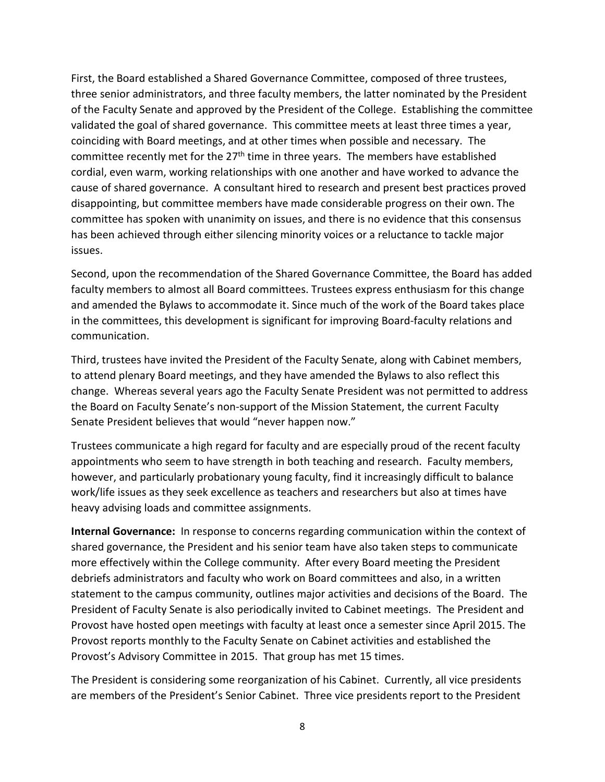First, the Board established a Shared Governance Committee, composed of three trustees, three senior administrators, and three faculty members, the latter nominated by the President of the Faculty Senate and approved by the President of the College. Establishing the committee validated the goal of shared governance. This committee meets at least three times a year, coinciding with Board meetings, and at other times when possible and necessary. The committee recently met for the 27<sup>th</sup> time in three years. The members have established cordial, even warm, working relationships with one another and have worked to advance the cause of shared governance. A consultant hired to research and present best practices proved disappointing, but committee members have made considerable progress on their own. The committee has spoken with unanimity on issues, and there is no evidence that this consensus has been achieved through either silencing minority voices or a reluctance to tackle major issues.

Second, upon the recommendation of the Shared Governance Committee, the Board has added faculty members to almost all Board committees. Trustees express enthusiasm for this change and amended the Bylaws to accommodate it. Since much of the work of the Board takes place in the committees, this development is significant for improving Board-faculty relations and communication.

Third, trustees have invited the President of the Faculty Senate, along with Cabinet members, to attend plenary Board meetings, and they have amended the Bylaws to also reflect this change. Whereas several years ago the Faculty Senate President was not permitted to address the Board on Faculty Senate's non-support of the Mission Statement, the current Faculty Senate President believes that would "never happen now."

Trustees communicate a high regard for faculty and are especially proud of the recent faculty appointments who seem to have strength in both teaching and research. Faculty members, however, and particularly probationary young faculty, find it increasingly difficult to balance work/life issues as they seek excellence as teachers and researchers but also at times have heavy advising loads and committee assignments.

**Internal Governance:** In response to concerns regarding communication within the context of shared governance, the President and his senior team have also taken steps to communicate more effectively within the College community. After every Board meeting the President debriefs administrators and faculty who work on Board committees and also, in a written statement to the campus community, outlines major activities and decisions of the Board. The President of Faculty Senate is also periodically invited to Cabinet meetings. The President and Provost have hosted open meetings with faculty at least once a semester since April 2015. The Provost reports monthly to the Faculty Senate on Cabinet activities and established the Provost's Advisory Committee in 2015. That group has met 15 times.

The President is considering some reorganization of his Cabinet. Currently, all vice presidents are members of the President's Senior Cabinet. Three vice presidents report to the President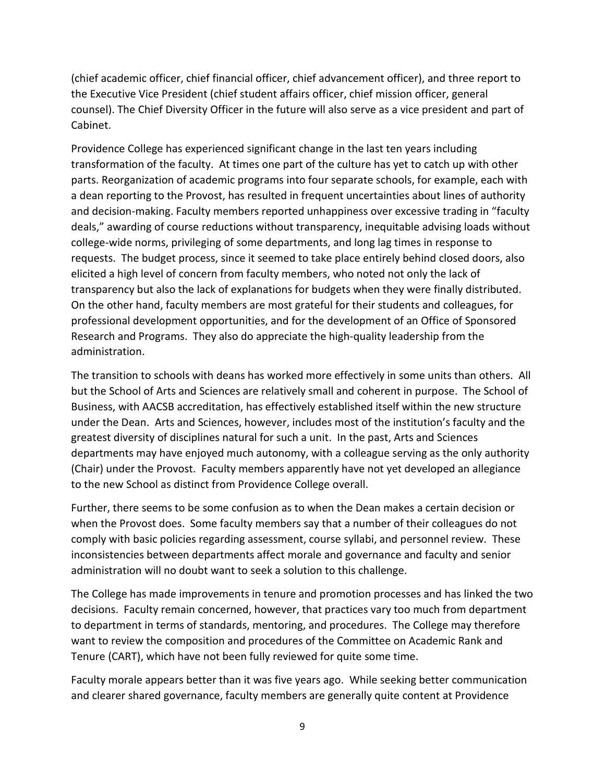(chief academic officer, chief financial officer, chief advancement officer), and three report to the Executive Vice President (chief student affairs officer, chief mission officer, general counsel). The Chief Diversity Officer in the future will also serve as a vice president and part of Cabinet.

Providence College has experienced significant change in the last ten years including transformation of the faculty. At times one part of the culture has yet to catch up with other parts. Reorganization of academic programs into four separate schools, for example, each with a dean reporting to the Provost, has resulted in frequent uncertainties about lines of authority and decision-making. Faculty members reported unhappiness over excessive trading in "faculty deals," awarding of course reductions without transparency, inequitable advising loads without college-wide norms, privileging of some departments, and long lag times in response to requests. The budget process, since it seemed to take place entirely behind closed doors, also elicited a high level of concern from faculty members, who noted not only the lack of transparency but also the lack of explanations for budgets when they were finally distributed. On the other hand, faculty members are most grateful for their students and colleagues, for professional development opportunities, and for the development of an Office of Sponsored Research and Programs. They also do appreciate the high-quality leadership from the administration.

The transition to schools with deans has worked more effectively in some units than others. All but the School of Arts and Sciences are relatively small and coherent in purpose. The School of Business, with AACSB accreditation, has effectively established itself within the new structure under the Dean. Arts and Sciences, however, includes most of the institution's faculty and the greatest diversity of disciplines natural for such a unit. In the past, Arts and Sciences departments may have enjoyed much autonomy, with a colleague serving as the only authority (Chair) under the Provost. Faculty members apparently have not yet developed an allegiance to the new School as distinct from Providence College overall.

Further, there seems to be some confusion as to when the Dean makes a certain decision or when the Provost does. Some faculty members say that a number of their colleagues do not comply with basic policies regarding assessment, course syllabi, and personnel review. These inconsistencies between departments affect morale and governance and faculty and senior administration will no doubt want to seek a solution to this challenge.

The College has made improvements in tenure and promotion processes and has linked the two decisions. Faculty remain concerned, however, that practices vary too much from department to department in terms of standards, mentoring, and procedures. The College may therefore want to review the composition and procedures of the Committee on Academic Rank and Tenure (CART), which have not been fully reviewed for quite some time.

Faculty morale appears better than it was five years ago. While seeking better communication and clearer shared governance, faculty members are generally quite content at Providence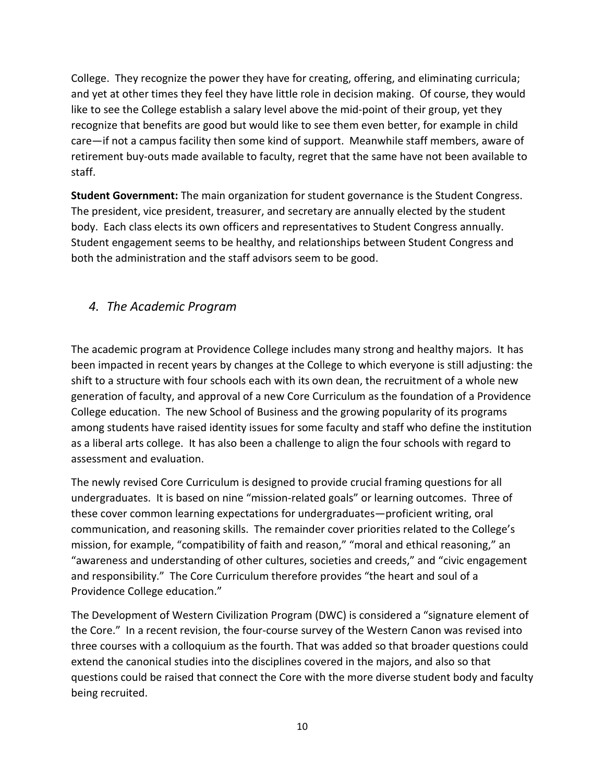College. They recognize the power they have for creating, offering, and eliminating curricula; and yet at other times they feel they have little role in decision making. Of course, they would like to see the College establish a salary level above the mid-point of their group, yet they recognize that benefits are good but would like to see them even better, for example in child care—if not a campus facility then some kind of support. Meanwhile staff members, aware of retirement buy-outs made available to faculty, regret that the same have not been available to staff.

**Student Government:** The main organization for student governance is the Student Congress. The president, vice president, treasurer, and secretary are annually elected by the student body. Each class elects its own officers and representatives to Student Congress annually. Student engagement seems to be healthy, and relationships between Student Congress and both the administration and the staff advisors seem to be good.

## *4. The Academic Program*

The academic program at Providence College includes many strong and healthy majors. It has been impacted in recent years by changes at the College to which everyone is still adjusting: the shift to a structure with four schools each with its own dean, the recruitment of a whole new generation of faculty, and approval of a new Core Curriculum as the foundation of a Providence College education. The new School of Business and the growing popularity of its programs among students have raised identity issues for some faculty and staff who define the institution as a liberal arts college. It has also been a challenge to align the four schools with regard to assessment and evaluation.

The newly revised Core Curriculum is designed to provide crucial framing questions for all undergraduates. It is based on nine "mission-related goals" or learning outcomes. Three of these cover common learning expectations for undergraduates—proficient writing, oral communication, and reasoning skills. The remainder cover priorities related to the College's mission, for example, "compatibility of faith and reason," "moral and ethical reasoning," an "awareness and understanding of other cultures, societies and creeds," and "civic engagement and responsibility." The Core Curriculum therefore provides "the heart and soul of a Providence College education."

The Development of Western Civilization Program (DWC) is considered a "signature element of the Core." In a recent revision, the four-course survey of the Western Canon was revised into three courses with a colloquium as the fourth. That was added so that broader questions could extend the canonical studies into the disciplines covered in the majors, and also so that questions could be raised that connect the Core with the more diverse student body and faculty being recruited.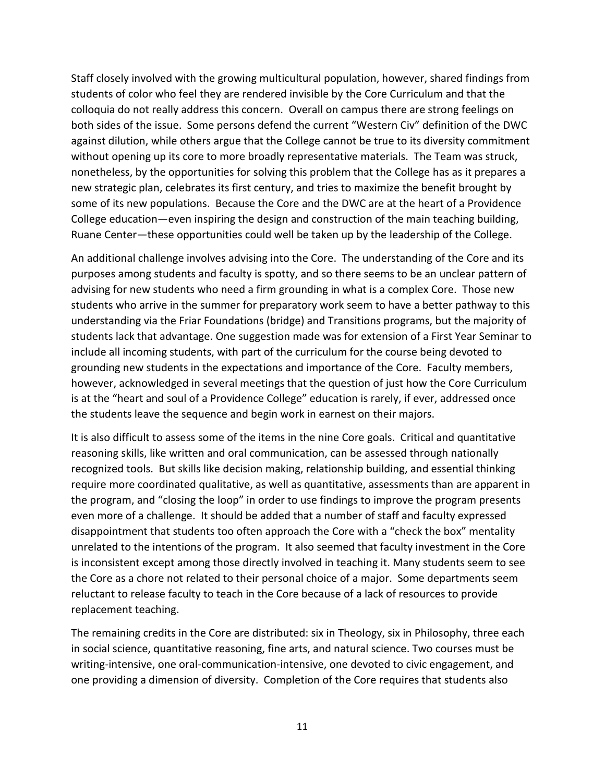Staff closely involved with the growing multicultural population, however, shared findings from students of color who feel they are rendered invisible by the Core Curriculum and that the colloquia do not really address this concern. Overall on campus there are strong feelings on both sides of the issue. Some persons defend the current "Western Civ" definition of the DWC against dilution, while others argue that the College cannot be true to its diversity commitment without opening up its core to more broadly representative materials. The Team was struck, nonetheless, by the opportunities for solving this problem that the College has as it prepares a new strategic plan, celebrates its first century, and tries to maximize the benefit brought by some of its new populations. Because the Core and the DWC are at the heart of a Providence College education—even inspiring the design and construction of the main teaching building, Ruane Center—these opportunities could well be taken up by the leadership of the College.

An additional challenge involves advising into the Core. The understanding of the Core and its purposes among students and faculty is spotty, and so there seems to be an unclear pattern of advising for new students who need a firm grounding in what is a complex Core. Those new students who arrive in the summer for preparatory work seem to have a better pathway to this understanding via the Friar Foundations (bridge) and Transitions programs, but the majority of students lack that advantage. One suggestion made was for extension of a First Year Seminar to include all incoming students, with part of the curriculum for the course being devoted to grounding new students in the expectations and importance of the Core. Faculty members, however, acknowledged in several meetings that the question of just how the Core Curriculum is at the "heart and soul of a Providence College" education is rarely, if ever, addressed once the students leave the sequence and begin work in earnest on their majors.

It is also difficult to assess some of the items in the nine Core goals. Critical and quantitative reasoning skills, like written and oral communication, can be assessed through nationally recognized tools. But skills like decision making, relationship building, and essential thinking require more coordinated qualitative, as well as quantitative, assessments than are apparent in the program, and "closing the loop" in order to use findings to improve the program presents even more of a challenge. It should be added that a number of staff and faculty expressed disappointment that students too often approach the Core with a "check the box" mentality unrelated to the intentions of the program. It also seemed that faculty investment in the Core is inconsistent except among those directly involved in teaching it. Many students seem to see the Core as a chore not related to their personal choice of a major. Some departments seem reluctant to release faculty to teach in the Core because of a lack of resources to provide replacement teaching.

The remaining credits in the Core are distributed: six in Theology, six in Philosophy, three each in social science, quantitative reasoning, fine arts, and natural science. Two courses must be writing-intensive, one oral-communication-intensive, one devoted to civic engagement, and one providing a dimension of diversity. Completion of the Core requires that students also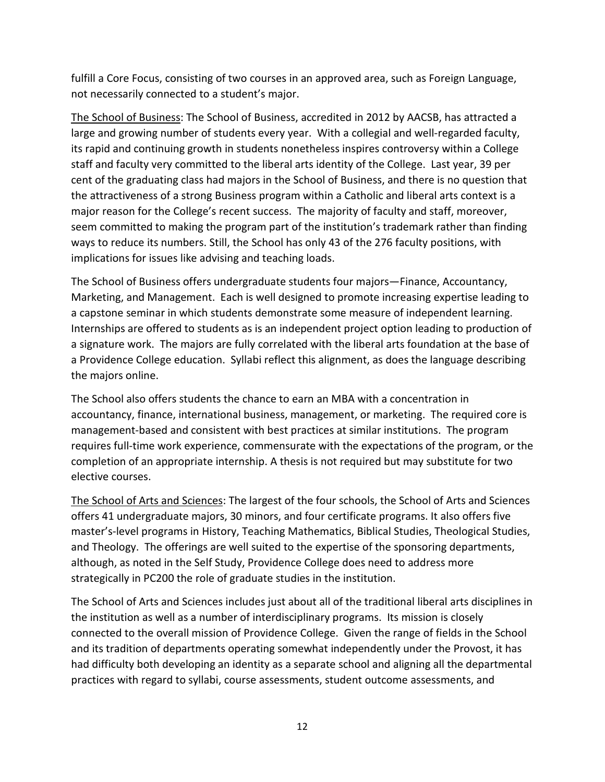fulfill a Core Focus, consisting of two courses in an approved area, such as Foreign Language, not necessarily connected to a student's major.

The School of Business: The School of Business, accredited in 2012 by AACSB, has attracted a large and growing number of students every year. With a collegial and well-regarded faculty, its rapid and continuing growth in students nonetheless inspires controversy within a College staff and faculty very committed to the liberal arts identity of the College. Last year, 39 per cent of the graduating class had majors in the School of Business, and there is no question that the attractiveness of a strong Business program within a Catholic and liberal arts context is a major reason for the College's recent success. The majority of faculty and staff, moreover, seem committed to making the program part of the institution's trademark rather than finding ways to reduce its numbers. Still, the School has only 43 of the 276 faculty positions, with implications for issues like advising and teaching loads.

The School of Business offers undergraduate students four majors—Finance, Accountancy, Marketing, and Management. Each is well designed to promote increasing expertise leading to a capstone seminar in which students demonstrate some measure of independent learning. Internships are offered to students as is an independent project option leading to production of a signature work. The majors are fully correlated with the liberal arts foundation at the base of a Providence College education. Syllabi reflect this alignment, as does the language describing the majors online.

The School also offers students the chance to earn an MBA with a concentration in accountancy, finance, international business, management, or marketing. The required core is management-based and consistent with best practices at similar institutions. The program requires full-time work experience, commensurate with the expectations of the program, or the completion of an appropriate internship. A thesis is not required but may substitute for two elective courses.

The School of Arts and Sciences: The largest of the four schools, the School of Arts and Sciences offers 41 undergraduate majors, 30 minors, and four certificate programs. It also offers five master's-level programs in History, Teaching Mathematics, Biblical Studies, Theological Studies, and Theology. The offerings are well suited to the expertise of the sponsoring departments, although, as noted in the Self Study, Providence College does need to address more strategically in PC200 the role of graduate studies in the institution.

The School of Arts and Sciences includes just about all of the traditional liberal arts disciplines in the institution as well as a number of interdisciplinary programs. Its mission is closely connected to the overall mission of Providence College. Given the range of fields in the School and its tradition of departments operating somewhat independently under the Provost, it has had difficulty both developing an identity as a separate school and aligning all the departmental practices with regard to syllabi, course assessments, student outcome assessments, and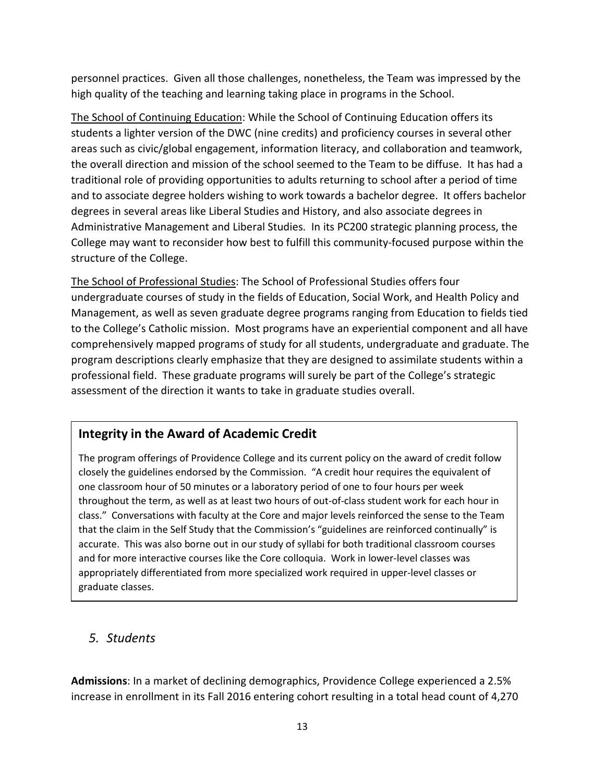personnel practices. Given all those challenges, nonetheless, the Team was impressed by the high quality of the teaching and learning taking place in programs in the School.

The School of Continuing Education: While the School of Continuing Education offers its students a lighter version of the DWC (nine credits) and proficiency courses in several other areas such as civic/global engagement, information literacy, and collaboration and teamwork, the overall direction and mission of the school seemed to the Team to be diffuse. It has had a traditional role of providing opportunities to adults returning to school after a period of time and to associate degree holders wishing to work towards a bachelor degree. It offers bachelor degrees in several areas like Liberal Studies and History, and also associate degrees in Administrative Management and Liberal Studies. In its PC200 strategic planning process, the College may want to reconsider how best to fulfill this community-focused purpose within the structure of the College.

The School of Professional Studies: The School of Professional Studies offers four undergraduate courses of study in the fields of Education, Social Work, and Health Policy and Management, as well as seven graduate degree programs ranging from Education to fields tied to the College's Catholic mission. Most programs have an experiential component and all have comprehensively mapped programs of study for all students, undergraduate and graduate. The program descriptions clearly emphasize that they are designed to assimilate students within a professional field. These graduate programs will surely be part of the College's strategic assessment of the direction it wants to take in graduate studies overall.

# **Integrity in the Award of Academic Credit**

The program offerings of Providence College and its current policy on the award of credit follow closely the guidelines endorsed by the Commission. "A credit hour requires the equivalent of one classroom hour of 50 minutes or a laboratory period of one to four hours per week throughout the term, as well as at least two hours of out-of-class student work for each hour in class." Conversations with faculty at the Core and major levels reinforced the sense to the Team that the claim in the Self Study that the Commission's "guidelines are reinforced continually" is accurate. This was also borne out in our study of syllabi for both traditional classroom courses and for more interactive courses like the Core colloquia. Work in lower-level classes was appropriately differentiated from more specialized work required in upper-level classes or graduate classes.

## *5. Students*

**Admissions**: In a market of declining demographics, Providence College experienced a 2.5% increase in enrollment in its Fall 2016 entering cohort resulting in a total head count of 4,270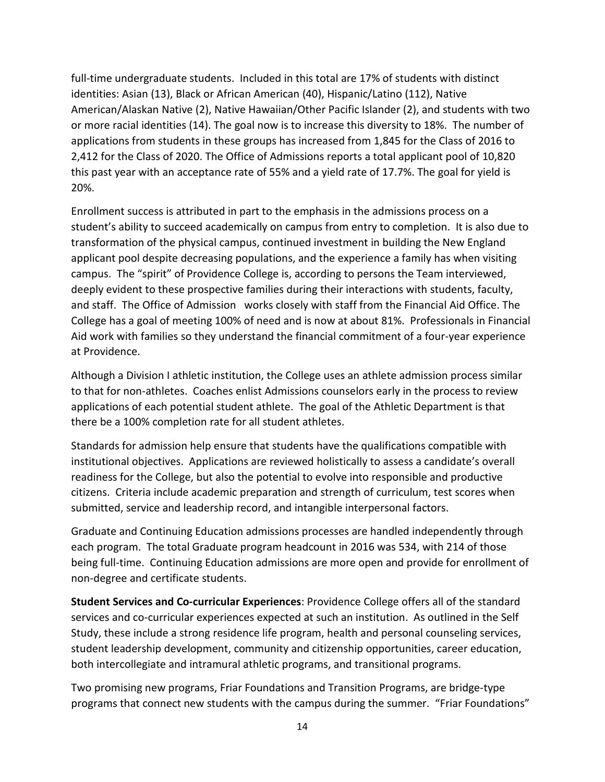full-time undergraduate students. Included in this total are 17% of students with distinct identities: Asian (13), Black or African American (40), Hispanic/Latino (112), Native American/Alaskan Native (2), Native Hawaiian/Other Pacific Islander (2), and students with two or more racial identities (14). The goal now is to increase this diversity to 18%. The number of applications from students in these groups has increased from 1,845 for the Class of 2016 to 2,412 for the Class of 2020. The Office of Admissions reports a total applicant pool of 10,820 this past year with an acceptance rate of 55% and a yield rate of 17.7%. The goal for yield is 20%.

Enrollment success is attributed in part to the emphasis in the admissions process on a student's ability to succeed academically on campus from entry to completion. It is also due to transformation of the physical campus, continued investment in building the New England applicant pool despite decreasing populations, and the experience a family has when visiting campus. The "spirit" of Providence College is, according to persons the Team interviewed, deeply evident to these prospective families during their interactions with students, faculty, and staff. The Office of Admission works closely with staff from the Financial Aid Office. The College has a goal of meeting 100% of need and is now at about 81%. Professionals in Financial Aid work with families so they understand the financial commitment of a four-year experience at Providence.

Although a Division I athletic institution, the College uses an athlete admission process similar to that for non-athletes. Coaches enlist Admissions counselors early in the process to review applications of each potential student athlete. The goal of the Athletic Department is that there be a 100% completion rate for all student athletes.

Standards for admission help ensure that students have the qualifications compatible with institutional objectives. Applications are reviewed holistically to assess a candidate's overall readiness for the College, but also the potential to evolve into responsible and productive citizens. Criteria include academic preparation and strength of curriculum, test scores when submitted, service and leadership record, and intangible interpersonal factors.

Graduate and Continuing Education admissions processes are handled independently through each program. The total Graduate program headcount in 2016 was 534, with 214 of those being full-time. Continuing Education admissions are more open and provide for enrollment of non-degree and certificate students.

**Student Services and Co-curricular Experiences**: Providence College offers all of the standard services and co-curricular experiences expected at such an institution. As outlined in the Self Study, these include a strong residence life program, health and personal counseling services, student leadership development, community and citizenship opportunities, career education, both intercollegiate and intramural athletic programs, and transitional programs.

Two promising new programs, Friar Foundations and Transition Programs, are bridge-type programs that connect new students with the campus during the summer. "Friar Foundations"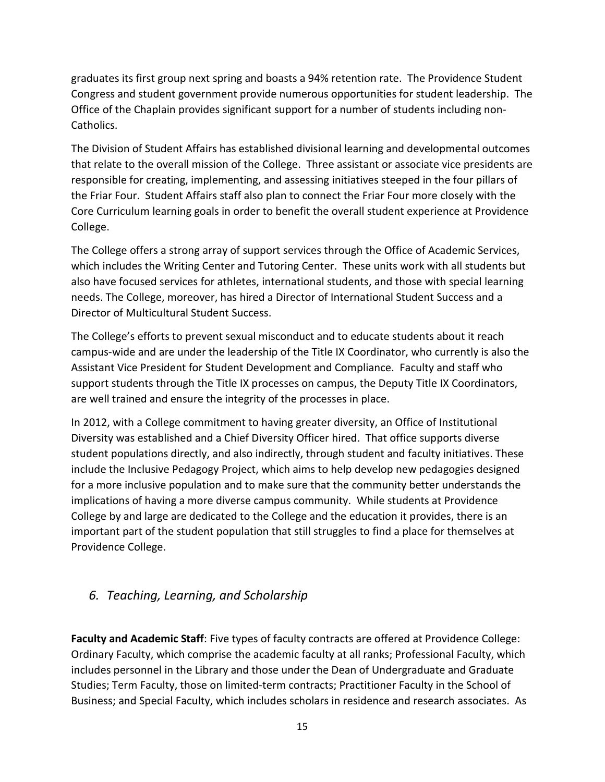graduates its first group next spring and boasts a 94% retention rate. The Providence Student Congress and student government provide numerous opportunities for student leadership. The Office of the Chaplain provides significant support for a number of students including non-Catholics.

The Division of Student Affairs has established divisional learning and developmental outcomes that relate to the overall mission of the College. Three assistant or associate vice presidents are responsible for creating, implementing, and assessing initiatives steeped in the four pillars of the Friar Four. Student Affairs staff also plan to connect the Friar Four more closely with the Core Curriculum learning goals in order to benefit the overall student experience at Providence College.

The College offers a strong array of support services through the Office of Academic Services, which includes the Writing Center and Tutoring Center. These units work with all students but also have focused services for athletes, international students, and those with special learning needs. The College, moreover, has hired a Director of International Student Success and a Director of Multicultural Student Success.

The College's efforts to prevent sexual misconduct and to educate students about it reach campus-wide and are under the leadership of the Title IX Coordinator, who currently is also the Assistant Vice President for Student Development and Compliance. Faculty and staff who support students through the Title IX processes on campus, the Deputy Title IX Coordinators, are well trained and ensure the integrity of the processes in place.

In 2012, with a College commitment to having greater diversity, an Office of Institutional Diversity was established and a Chief Diversity Officer hired. That office supports diverse student populations directly, and also indirectly, through student and faculty initiatives. These include the Inclusive Pedagogy Project, which aims to help develop new pedagogies designed for a more inclusive population and to make sure that the community better understands the implications of having a more diverse campus community. While students at Providence College by and large are dedicated to the College and the education it provides, there is an important part of the student population that still struggles to find a place for themselves at Providence College.

## *6. Teaching, Learning, and Scholarship*

**Faculty and Academic Staff**: Five types of faculty contracts are offered at Providence College: Ordinary Faculty, which comprise the academic faculty at all ranks; Professional Faculty, which includes personnel in the Library and those under the Dean of Undergraduate and Graduate Studies; Term Faculty, those on limited-term contracts; Practitioner Faculty in the School of Business; and Special Faculty, which includes scholars in residence and research associates. As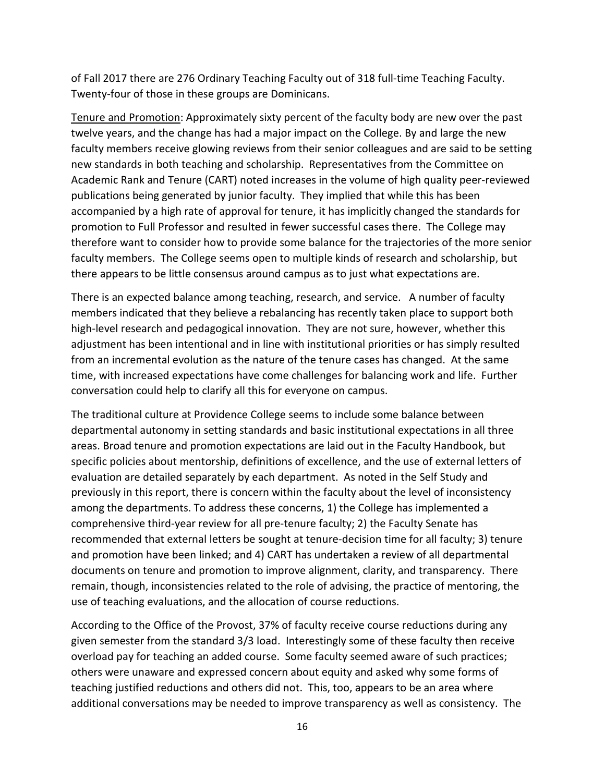of Fall 2017 there are 276 Ordinary Teaching Faculty out of 318 full-time Teaching Faculty. Twenty-four of those in these groups are Dominicans.

Tenure and Promotion: Approximately sixty percent of the faculty body are new over the past twelve years, and the change has had a major impact on the College. By and large the new faculty members receive glowing reviews from their senior colleagues and are said to be setting new standards in both teaching and scholarship. Representatives from the Committee on Academic Rank and Tenure (CART) noted increases in the volume of high quality peer-reviewed publications being generated by junior faculty. They implied that while this has been accompanied by a high rate of approval for tenure, it has implicitly changed the standards for promotion to Full Professor and resulted in fewer successful cases there. The College may therefore want to consider how to provide some balance for the trajectories of the more senior faculty members. The College seems open to multiple kinds of research and scholarship, but there appears to be little consensus around campus as to just what expectations are.

There is an expected balance among teaching, research, and service. A number of faculty members indicated that they believe a rebalancing has recently taken place to support both high-level research and pedagogical innovation. They are not sure, however, whether this adjustment has been intentional and in line with institutional priorities or has simply resulted from an incremental evolution as the nature of the tenure cases has changed. At the same time, with increased expectations have come challenges for balancing work and life. Further conversation could help to clarify all this for everyone on campus.

The traditional culture at Providence College seems to include some balance between departmental autonomy in setting standards and basic institutional expectations in all three areas. Broad tenure and promotion expectations are laid out in the Faculty Handbook, but specific policies about mentorship, definitions of excellence, and the use of external letters of evaluation are detailed separately by each department. As noted in the Self Study and previously in this report, there is concern within the faculty about the level of inconsistency among the departments. To address these concerns, 1) the College has implemented a comprehensive third-year review for all pre-tenure faculty; 2) the Faculty Senate has recommended that external letters be sought at tenure-decision time for all faculty; 3) tenure and promotion have been linked; and 4) CART has undertaken a review of all departmental documents on tenure and promotion to improve alignment, clarity, and transparency. There remain, though, inconsistencies related to the role of advising, the practice of mentoring, the use of teaching evaluations, and the allocation of course reductions.

According to the Office of the Provost, 37% of faculty receive course reductions during any given semester from the standard 3/3 load. Interestingly some of these faculty then receive overload pay for teaching an added course. Some faculty seemed aware of such practices; others were unaware and expressed concern about equity and asked why some forms of teaching justified reductions and others did not. This, too, appears to be an area where additional conversations may be needed to improve transparency as well as consistency. The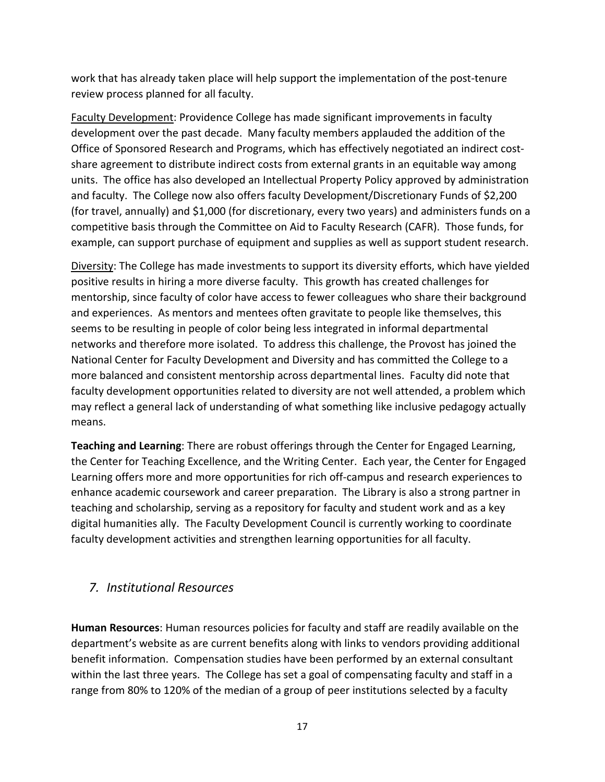work that has already taken place will help support the implementation of the post-tenure review process planned for all faculty.

Faculty Development: Providence College has made significant improvements in faculty development over the past decade. Many faculty members applauded the addition of the Office of Sponsored Research and Programs, which has effectively negotiated an indirect costshare agreement to distribute indirect costs from external grants in an equitable way among units. The office has also developed an Intellectual Property Policy approved by administration and faculty. The College now also offers faculty Development/Discretionary Funds of \$2,200 (for travel, annually) and \$1,000 (for discretionary, every two years) and administers funds on a competitive basis through the Committee on Aid to Faculty Research (CAFR). Those funds, for example, can support purchase of equipment and supplies as well as support student research.

Diversity: The College has made investments to support its diversity efforts, which have yielded positive results in hiring a more diverse faculty. This growth has created challenges for mentorship, since faculty of color have access to fewer colleagues who share their background and experiences. As mentors and mentees often gravitate to people like themselves, this seems to be resulting in people of color being less integrated in informal departmental networks and therefore more isolated. To address this challenge, the Provost has joined the National Center for Faculty Development and Diversity and has committed the College to a more balanced and consistent mentorship across departmental lines. Faculty did note that faculty development opportunities related to diversity are not well attended, a problem which may reflect a general lack of understanding of what something like inclusive pedagogy actually means.

**Teaching and Learning**: There are robust offerings through the Center for Engaged Learning, the Center for Teaching Excellence, and the Writing Center. Each year, the Center for Engaged Learning offers more and more opportunities for rich off-campus and research experiences to enhance academic coursework and career preparation. The Library is also a strong partner in teaching and scholarship, serving as a repository for faculty and student work and as a key digital humanities ally. The Faculty Development Council is currently working to coordinate faculty development activities and strengthen learning opportunities for all faculty.

#### *7. Institutional Resources*

**Human Resources**: Human resources policies for faculty and staff are readily available on the department's website as are current benefits along with links to vendors providing additional benefit information. Compensation studies have been performed by an external consultant within the last three years. The College has set a goal of compensating faculty and staff in a range from 80% to 120% of the median of a group of peer institutions selected by a faculty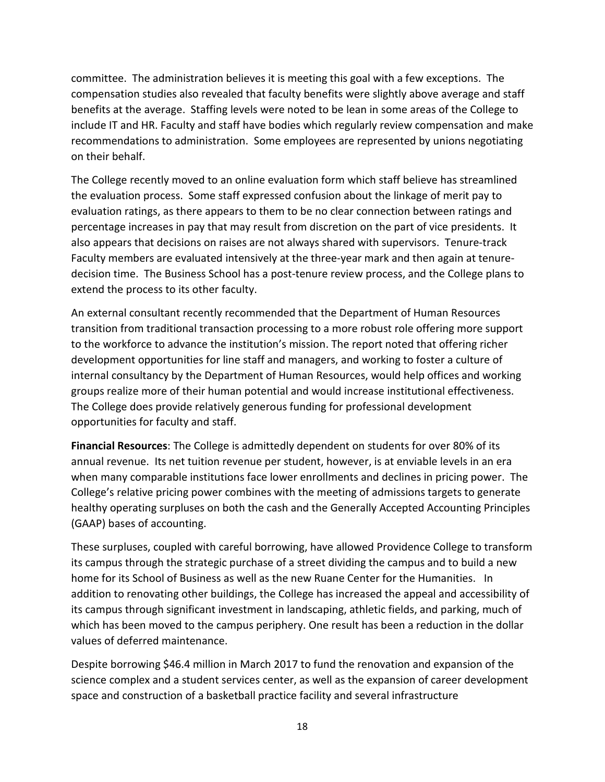committee. The administration believes it is meeting this goal with a few exceptions. The compensation studies also revealed that faculty benefits were slightly above average and staff benefits at the average. Staffing levels were noted to be lean in some areas of the College to include IT and HR. Faculty and staff have bodies which regularly review compensation and make recommendations to administration. Some employees are represented by unions negotiating on their behalf.

The College recently moved to an online evaluation form which staff believe has streamlined the evaluation process. Some staff expressed confusion about the linkage of merit pay to evaluation ratings, as there appears to them to be no clear connection between ratings and percentage increases in pay that may result from discretion on the part of vice presidents. It also appears that decisions on raises are not always shared with supervisors. Tenure-track Faculty members are evaluated intensively at the three-year mark and then again at tenuredecision time. The Business School has a post-tenure review process, and the College plans to extend the process to its other faculty.

An external consultant recently recommended that the Department of Human Resources transition from traditional transaction processing to a more robust role offering more support to the workforce to advance the institution's mission. The report noted that offering richer development opportunities for line staff and managers, and working to foster a culture of internal consultancy by the Department of Human Resources, would help offices and working groups realize more of their human potential and would increase institutional effectiveness. The College does provide relatively generous funding for professional development opportunities for faculty and staff.

**Financial Resources**: The College is admittedly dependent on students for over 80% of its annual revenue. Its net tuition revenue per student, however, is at enviable levels in an era when many comparable institutions face lower enrollments and declines in pricing power. The College's relative pricing power combines with the meeting of admissions targets to generate healthy operating surpluses on both the cash and the Generally Accepted Accounting Principles (GAAP) bases of accounting.

These surpluses, coupled with careful borrowing, have allowed Providence College to transform its campus through the strategic purchase of a street dividing the campus and to build a new home for its School of Business as well as the new Ruane Center for the Humanities. In addition to renovating other buildings, the College has increased the appeal and accessibility of its campus through significant investment in landscaping, athletic fields, and parking, much of which has been moved to the campus periphery. One result has been a reduction in the dollar values of deferred maintenance.

Despite borrowing \$46.4 million in March 2017 to fund the renovation and expansion of the science complex and a student services center, as well as the expansion of career development space and construction of a basketball practice facility and several infrastructure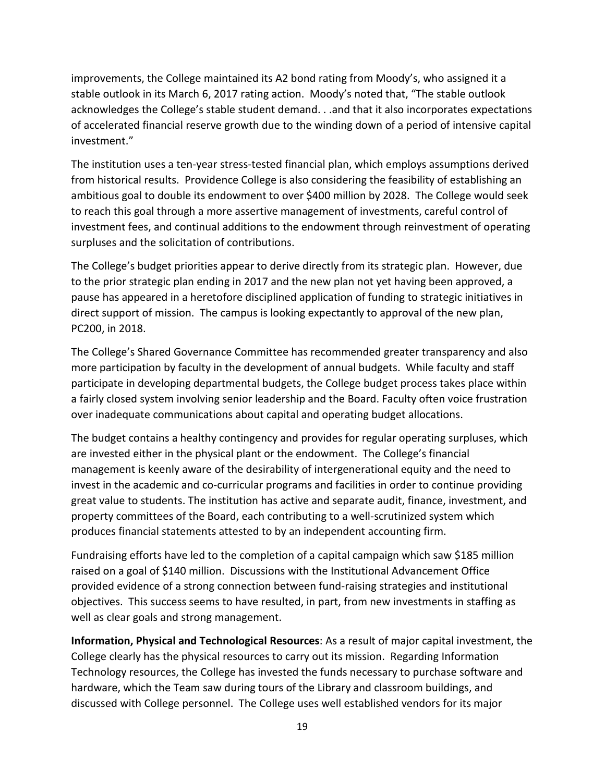improvements, the College maintained its A2 bond rating from Moody's, who assigned it a stable outlook in its March 6, 2017 rating action. Moody's noted that, "The stable outlook acknowledges the College's stable student demand. . .and that it also incorporates expectations of accelerated financial reserve growth due to the winding down of a period of intensive capital investment."

The institution uses a ten-year stress-tested financial plan, which employs assumptions derived from historical results. Providence College is also considering the feasibility of establishing an ambitious goal to double its endowment to over \$400 million by 2028. The College would seek to reach this goal through a more assertive management of investments, careful control of investment fees, and continual additions to the endowment through reinvestment of operating surpluses and the solicitation of contributions.

The College's budget priorities appear to derive directly from its strategic plan. However, due to the prior strategic plan ending in 2017 and the new plan not yet having been approved, a pause has appeared in a heretofore disciplined application of funding to strategic initiatives in direct support of mission. The campus is looking expectantly to approval of the new plan, PC200, in 2018.

The College's Shared Governance Committee has recommended greater transparency and also more participation by faculty in the development of annual budgets. While faculty and staff participate in developing departmental budgets, the College budget process takes place within a fairly closed system involving senior leadership and the Board. Faculty often voice frustration over inadequate communications about capital and operating budget allocations.

The budget contains a healthy contingency and provides for regular operating surpluses, which are invested either in the physical plant or the endowment. The College's financial management is keenly aware of the desirability of intergenerational equity and the need to invest in the academic and co-curricular programs and facilities in order to continue providing great value to students. The institution has active and separate audit, finance, investment, and property committees of the Board, each contributing to a well-scrutinized system which produces financial statements attested to by an independent accounting firm.

Fundraising efforts have led to the completion of a capital campaign which saw \$185 million raised on a goal of \$140 million. Discussions with the Institutional Advancement Office provided evidence of a strong connection between fund-raising strategies and institutional objectives. This success seems to have resulted, in part, from new investments in staffing as well as clear goals and strong management.

**Information, Physical and Technological Resources**: As a result of major capital investment, the College clearly has the physical resources to carry out its mission. Regarding Information Technology resources, the College has invested the funds necessary to purchase software and hardware, which the Team saw during tours of the Library and classroom buildings, and discussed with College personnel. The College uses well established vendors for its major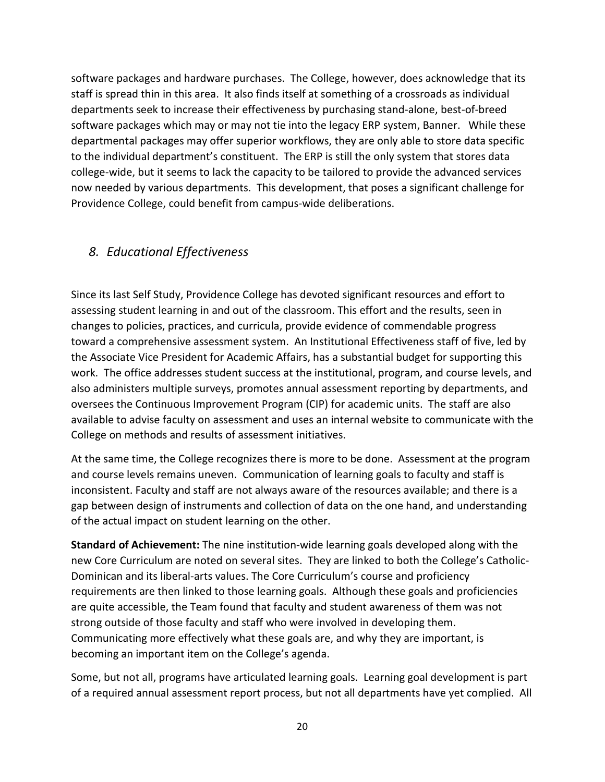software packages and hardware purchases. The College, however, does acknowledge that its staff is spread thin in this area. It also finds itself at something of a crossroads as individual departments seek to increase their effectiveness by purchasing stand-alone, best-of-breed software packages which may or may not tie into the legacy ERP system, Banner. While these departmental packages may offer superior workflows, they are only able to store data specific to the individual department's constituent. The ERP is still the only system that stores data college-wide, but it seems to lack the capacity to be tailored to provide the advanced services now needed by various departments. This development, that poses a significant challenge for Providence College, could benefit from campus-wide deliberations.

## *8. Educational Effectiveness*

Since its last Self Study, Providence College has devoted significant resources and effort to assessing student learning in and out of the classroom. This effort and the results, seen in changes to policies, practices, and curricula, provide evidence of commendable progress toward a comprehensive assessment system. An Institutional Effectiveness staff of five, led by the Associate Vice President for Academic Affairs, has a substantial budget for supporting this work. The office addresses student success at the institutional, program, and course levels, and also administers multiple surveys, promotes annual assessment reporting by departments, and oversees the Continuous Improvement Program (CIP) for academic units. The staff are also available to advise faculty on assessment and uses an internal website to communicate with the College on methods and results of assessment initiatives.

At the same time, the College recognizes there is more to be done. Assessment at the program and course levels remains uneven. Communication of learning goals to faculty and staff is inconsistent. Faculty and staff are not always aware of the resources available; and there is a gap between design of instruments and collection of data on the one hand, and understanding of the actual impact on student learning on the other.

**Standard of Achievement:** The nine institution-wide learning goals developed along with the new Core Curriculum are noted on several sites. They are linked to both the College's Catholic-Dominican and its liberal-arts values. The Core Curriculum's course and proficiency requirements are then linked to those learning goals. Although these goals and proficiencies are quite accessible, the Team found that faculty and student awareness of them was not strong outside of those faculty and staff who were involved in developing them. Communicating more effectively what these goals are, and why they are important, is becoming an important item on the College's agenda.

Some, but not all, programs have articulated learning goals. Learning goal development is part of a required annual assessment report process, but not all departments have yet complied. All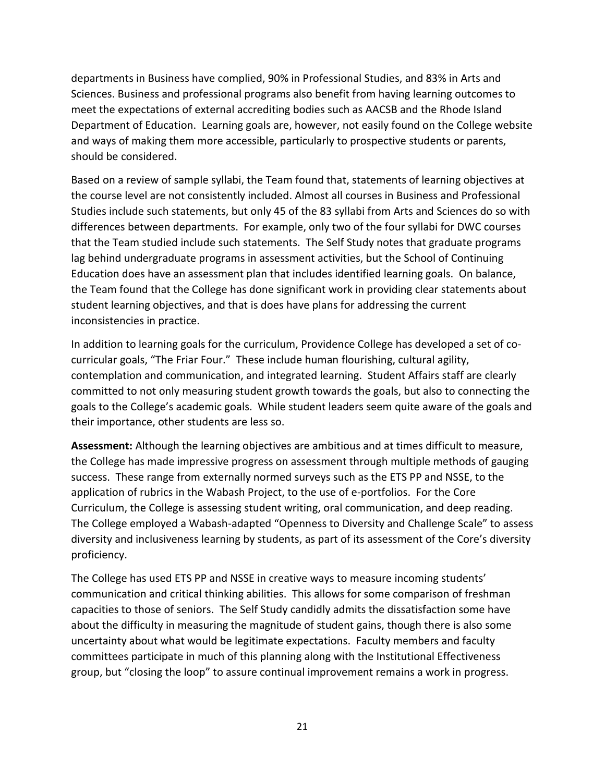departments in Business have complied, 90% in Professional Studies, and 83% in Arts and Sciences. Business and professional programs also benefit from having learning outcomes to meet the expectations of external accrediting bodies such as AACSB and the Rhode Island Department of Education. Learning goals are, however, not easily found on the College website and ways of making them more accessible, particularly to prospective students or parents, should be considered.

Based on a review of sample syllabi, the Team found that, statements of learning objectives at the course level are not consistently included. Almost all courses in Business and Professional Studies include such statements, but only 45 of the 83 syllabi from Arts and Sciences do so with differences between departments. For example, only two of the four syllabi for DWC courses that the Team studied include such statements. The Self Study notes that graduate programs lag behind undergraduate programs in assessment activities, but the School of Continuing Education does have an assessment plan that includes identified learning goals. On balance, the Team found that the College has done significant work in providing clear statements about student learning objectives, and that is does have plans for addressing the current inconsistencies in practice.

In addition to learning goals for the curriculum, Providence College has developed a set of cocurricular goals, "The Friar Four." These include human flourishing, cultural agility, contemplation and communication, and integrated learning. Student Affairs staff are clearly committed to not only measuring student growth towards the goals, but also to connecting the goals to the College's academic goals. While student leaders seem quite aware of the goals and their importance, other students are less so.

**Assessment:** Although the learning objectives are ambitious and at times difficult to measure, the College has made impressive progress on assessment through multiple methods of gauging success. These range from externally normed surveys such as the ETS PP and NSSE, to the application of rubrics in the Wabash Project, to the use of e-portfolios. For the Core Curriculum, the College is assessing student writing, oral communication, and deep reading. The College employed a Wabash-adapted "Openness to Diversity and Challenge Scale" to assess diversity and inclusiveness learning by students, as part of its assessment of the Core's diversity proficiency.

The College has used ETS PP and NSSE in creative ways to measure incoming students' communication and critical thinking abilities. This allows for some comparison of freshman capacities to those of seniors. The Self Study candidly admits the dissatisfaction some have about the difficulty in measuring the magnitude of student gains, though there is also some uncertainty about what would be legitimate expectations. Faculty members and faculty committees participate in much of this planning along with the Institutional Effectiveness group, but "closing the loop" to assure continual improvement remains a work in progress.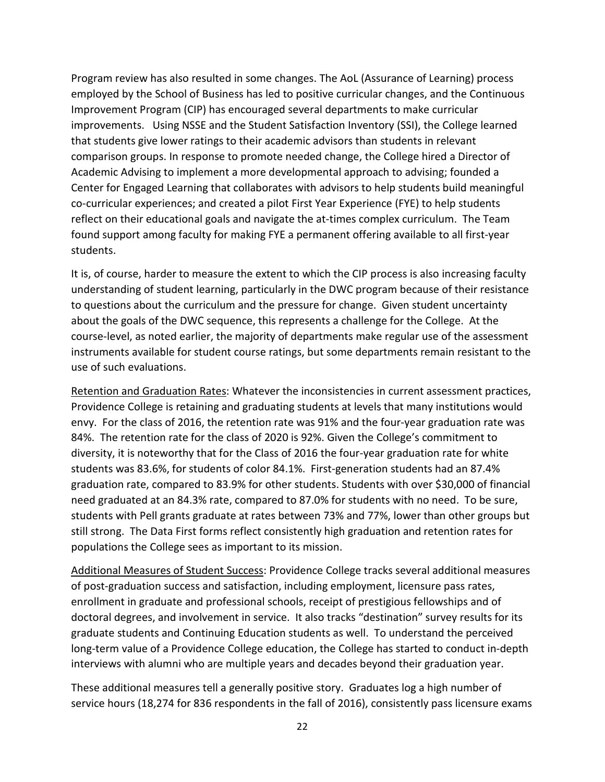Program review has also resulted in some changes. The AoL (Assurance of Learning) process employed by the School of Business has led to positive curricular changes, and the Continuous Improvement Program (CIP) has encouraged several departments to make curricular improvements. Using NSSE and the Student Satisfaction Inventory (SSI), the College learned that students give lower ratings to their academic advisors than students in relevant comparison groups. In response to promote needed change, the College hired a Director of Academic Advising to implement a more developmental approach to advising; founded a Center for Engaged Learning that collaborates with advisors to help students build meaningful co-curricular experiences; and created a pilot First Year Experience (FYE) to help students reflect on their educational goals and navigate the at-times complex curriculum. The Team found support among faculty for making FYE a permanent offering available to all first-year students.

It is, of course, harder to measure the extent to which the CIP process is also increasing faculty understanding of student learning, particularly in the DWC program because of their resistance to questions about the curriculum and the pressure for change. Given student uncertainty about the goals of the DWC sequence, this represents a challenge for the College. At the course-level, as noted earlier, the majority of departments make regular use of the assessment instruments available for student course ratings, but some departments remain resistant to the use of such evaluations.

Retention and Graduation Rates: Whatever the inconsistencies in current assessment practices, Providence College is retaining and graduating students at levels that many institutions would envy. For the class of 2016, the retention rate was 91% and the four-year graduation rate was 84%. The retention rate for the class of 2020 is 92%. Given the College's commitment to diversity, it is noteworthy that for the Class of 2016 the four-year graduation rate for white students was 83.6%, for students of color 84.1%. First-generation students had an 87.4% graduation rate, compared to 83.9% for other students. Students with over \$30,000 of financial need graduated at an 84.3% rate, compared to 87.0% for students with no need. To be sure, students with Pell grants graduate at rates between 73% and 77%, lower than other groups but still strong. The Data First forms reflect consistently high graduation and retention rates for populations the College sees as important to its mission.

Additional Measures of Student Success: Providence College tracks several additional measures of post-graduation success and satisfaction, including employment, licensure pass rates, enrollment in graduate and professional schools, receipt of prestigious fellowships and of doctoral degrees, and involvement in service. It also tracks "destination" survey results for its graduate students and Continuing Education students as well. To understand the perceived long-term value of a Providence College education, the College has started to conduct in-depth interviews with alumni who are multiple years and decades beyond their graduation year.

These additional measures tell a generally positive story. Graduates log a high number of service hours (18,274 for 836 respondents in the fall of 2016), consistently pass licensure exams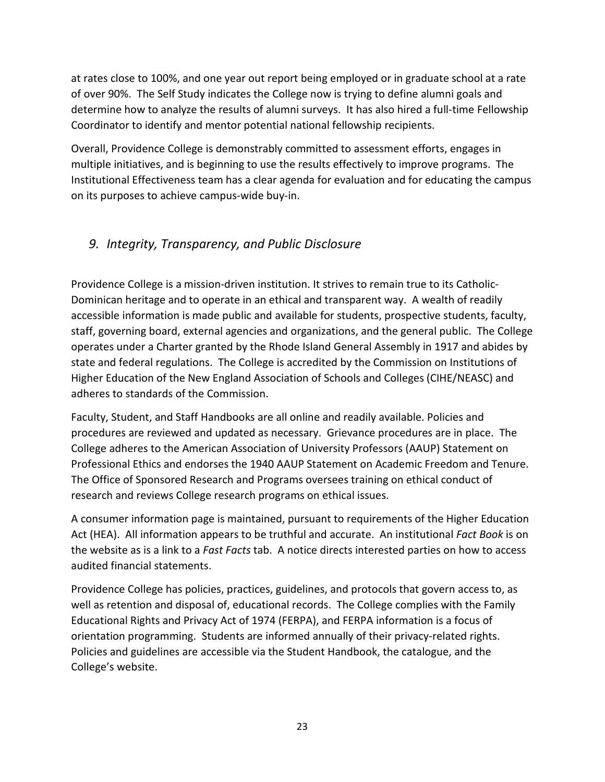at rates close to 100%, and one year out report being employed or in graduate school at a rate of over 90%. The Self Study indicates the College now is trying to define alumni goals and determine how to analyze the results of alumni surveys. It has also hired a full-time Fellowship Coordinator to identify and mentor potential national fellowship recipients.

Overall, Providence College is demonstrably committed to assessment efforts, engages in multiple initiatives, and is beginning to use the results effectively to improve programs. The Institutional Effectiveness team has a clear agenda for evaluation and for educating the campus on its purposes to achieve campus-wide buy-in.

## *9. Integrity, Transparency, and Public Disclosure*

Providence College is a mission-driven institution. It strives to remain true to its Catholic-Dominican heritage and to operate in an ethical and transparent way. A wealth of readily accessible information is made public and available for students, prospective students, faculty, staff, governing board, external agencies and organizations, and the general public. The College operates under a Charter granted by the Rhode Island General Assembly in 1917 and abides by state and federal regulations. The College is accredited by the Commission on Institutions of Higher Education of the New England Association of Schools and Colleges (CIHE/NEASC) and adheres to standards of the Commission.

Faculty, Student, and Staff Handbooks are all online and readily available. Policies and procedures are reviewed and updated as necessary. Grievance procedures are in place. The College adheres to the American Association of University Professors (AAUP) Statement on Professional Ethics and endorses the 1940 AAUP Statement on Academic Freedom and Tenure. The Office of Sponsored Research and Programs oversees training on ethical conduct of research and reviews College research programs on ethical issues.

A consumer information page is maintained, pursuant to requirements of the Higher Education Act (HEA). All information appears to be truthful and accurate. An institutional *Fact Book* is on the website as is a link to a *Fast Facts* tab. A notice directs interested parties on how to access audited financial statements.

Providence College has policies, practices, guidelines, and protocols that govern access to, as well as retention and disposal of, educational records. The College complies with the Family Educational Rights and Privacy Act of 1974 (FERPA), and FERPA information is a focus of orientation programming. Students are informed annually of their privacy-related rights. Policies and guidelines are accessible via the Student Handbook, the catalogue, and the College's website.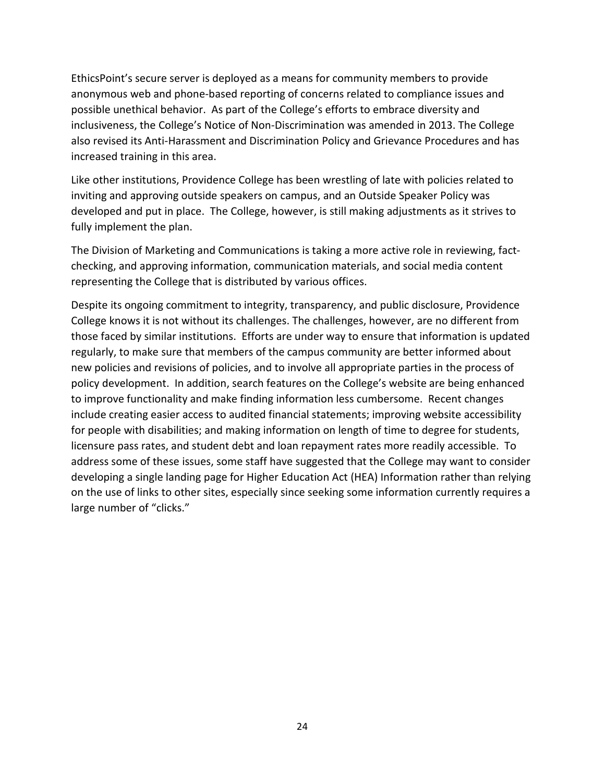EthicsPoint's secure server is deployed as a means for community members to provide anonymous web and phone-based reporting of concerns related to compliance issues and possible unethical behavior. As part of the College's efforts to embrace diversity and inclusiveness, the College's Notice of Non-Discrimination was amended in 2013. The College also revised its Anti-Harassment and Discrimination Policy and Grievance Procedures and has increased training in this area.

Like other institutions, Providence College has been wrestling of late with policies related to inviting and approving outside speakers on campus, and an Outside Speaker Policy was developed and put in place. The College, however, is still making adjustments as it strives to fully implement the plan.

The Division of Marketing and Communications is taking a more active role in reviewing, factchecking, and approving information, communication materials, and social media content representing the College that is distributed by various offices.

Despite its ongoing commitment to integrity, transparency, and public disclosure, Providence College knows it is not without its challenges. The challenges, however, are no different from those faced by similar institutions. Efforts are under way to ensure that information is updated regularly, to make sure that members of the campus community are better informed about new policies and revisions of policies, and to involve all appropriate parties in the process of policy development. In addition, search features on the College's website are being enhanced to improve functionality and make finding information less cumbersome. Recent changes include creating easier access to audited financial statements; improving website accessibility for people with disabilities; and making information on length of time to degree for students, licensure pass rates, and student debt and loan repayment rates more readily accessible. To address some of these issues, some staff have suggested that the College may want to consider developing a single landing page for Higher Education Act (HEA) Information rather than relying on the use of links to other sites, especially since seeking some information currently requires a large number of "clicks."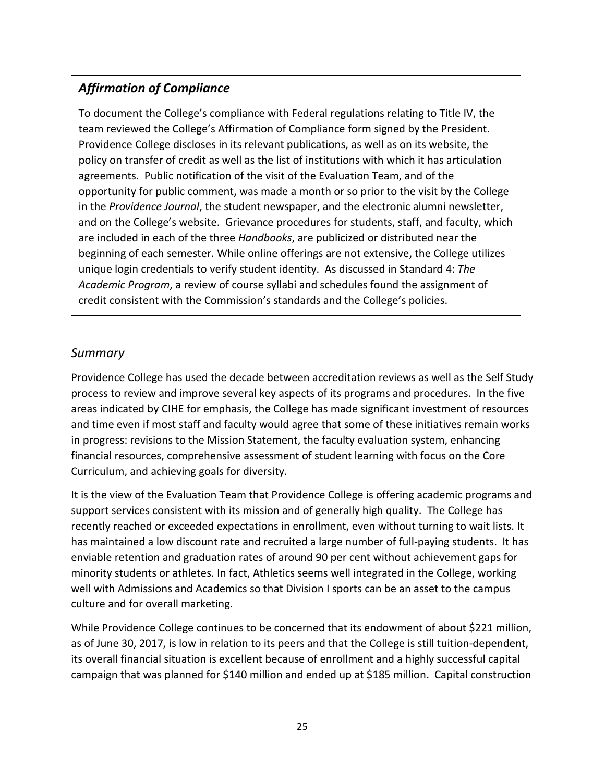# *Affirmation of Compliance*

To document the College's compliance with Federal regulations relating to Title IV, the team reviewed the College's Affirmation of Compliance form signed by the President. Providence College discloses in its relevant publications, as well as on its website, the policy on transfer of credit as well as the list of institutions with which it has articulation agreements. Public notification of the visit of the Evaluation Team, and of the opportunity for public comment, was made a month or so prior to the visit by the College in the *Providence Journal*, the student newspaper, and the electronic alumni newsletter, and on the College's website. Grievance procedures for students, staff, and faculty, which are included in each of the three *Handbooks*, are publicized or distributed near the beginning of each semester. While online offerings are not extensive, the College utilizes unique login credentials to verify student identity. As discussed in Standard 4: *The Academic Program*, a review of course syllabi and schedules found the assignment of credit consistent with the Commission's standards and the College's policies.

## *Summary*

Providence College has used the decade between accreditation reviews as well as the Self Study process to review and improve several key aspects of its programs and procedures. In the five areas indicated by CIHE for emphasis, the College has made significant investment of resources and time even if most staff and faculty would agree that some of these initiatives remain works in progress: revisions to the Mission Statement, the faculty evaluation system, enhancing financial resources, comprehensive assessment of student learning with focus on the Core Curriculum, and achieving goals for diversity.

It is the view of the Evaluation Team that Providence College is offering academic programs and support services consistent with its mission and of generally high quality. The College has recently reached or exceeded expectations in enrollment, even without turning to wait lists. It has maintained a low discount rate and recruited a large number of full-paying students. It has enviable retention and graduation rates of around 90 per cent without achievement gaps for minority students or athletes. In fact, Athletics seems well integrated in the College, working well with Admissions and Academics so that Division I sports can be an asset to the campus culture and for overall marketing.

While Providence College continues to be concerned that its endowment of about \$221 million, as of June 30, 2017, is low in relation to its peers and that the College is still tuition-dependent, its overall financial situation is excellent because of enrollment and a highly successful capital campaign that was planned for \$140 million and ended up at \$185 million. Capital construction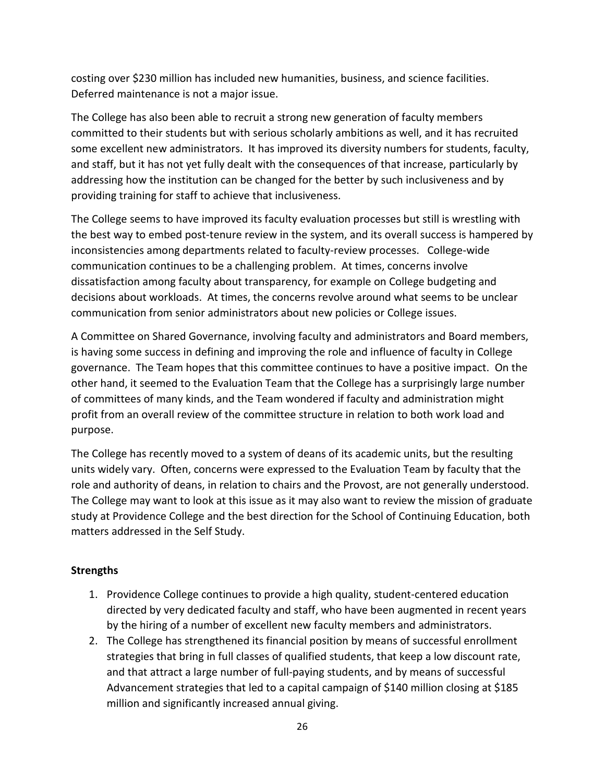costing over \$230 million has included new humanities, business, and science facilities. Deferred maintenance is not a major issue.

The College has also been able to recruit a strong new generation of faculty members committed to their students but with serious scholarly ambitions as well, and it has recruited some excellent new administrators. It has improved its diversity numbers for students, faculty, and staff, but it has not yet fully dealt with the consequences of that increase, particularly by addressing how the institution can be changed for the better by such inclusiveness and by providing training for staff to achieve that inclusiveness.

The College seems to have improved its faculty evaluation processes but still is wrestling with the best way to embed post-tenure review in the system, and its overall success is hampered by inconsistencies among departments related to faculty-review processes. College-wide communication continues to be a challenging problem. At times, concerns involve dissatisfaction among faculty about transparency, for example on College budgeting and decisions about workloads. At times, the concerns revolve around what seems to be unclear communication from senior administrators about new policies or College issues.

A Committee on Shared Governance, involving faculty and administrators and Board members, is having some success in defining and improving the role and influence of faculty in College governance. The Team hopes that this committee continues to have a positive impact. On the other hand, it seemed to the Evaluation Team that the College has a surprisingly large number of committees of many kinds, and the Team wondered if faculty and administration might profit from an overall review of the committee structure in relation to both work load and purpose.

The College has recently moved to a system of deans of its academic units, but the resulting units widely vary. Often, concerns were expressed to the Evaluation Team by faculty that the role and authority of deans, in relation to chairs and the Provost, are not generally understood. The College may want to look at this issue as it may also want to review the mission of graduate study at Providence College and the best direction for the School of Continuing Education, both matters addressed in the Self Study.

#### **Strengths**

- 1. Providence College continues to provide a high quality, student-centered education directed by very dedicated faculty and staff, who have been augmented in recent years by the hiring of a number of excellent new faculty members and administrators.
- 2. The College has strengthened its financial position by means of successful enrollment strategies that bring in full classes of qualified students, that keep a low discount rate, and that attract a large number of full-paying students, and by means of successful Advancement strategies that led to a capital campaign of \$140 million closing at \$185 million and significantly increased annual giving.